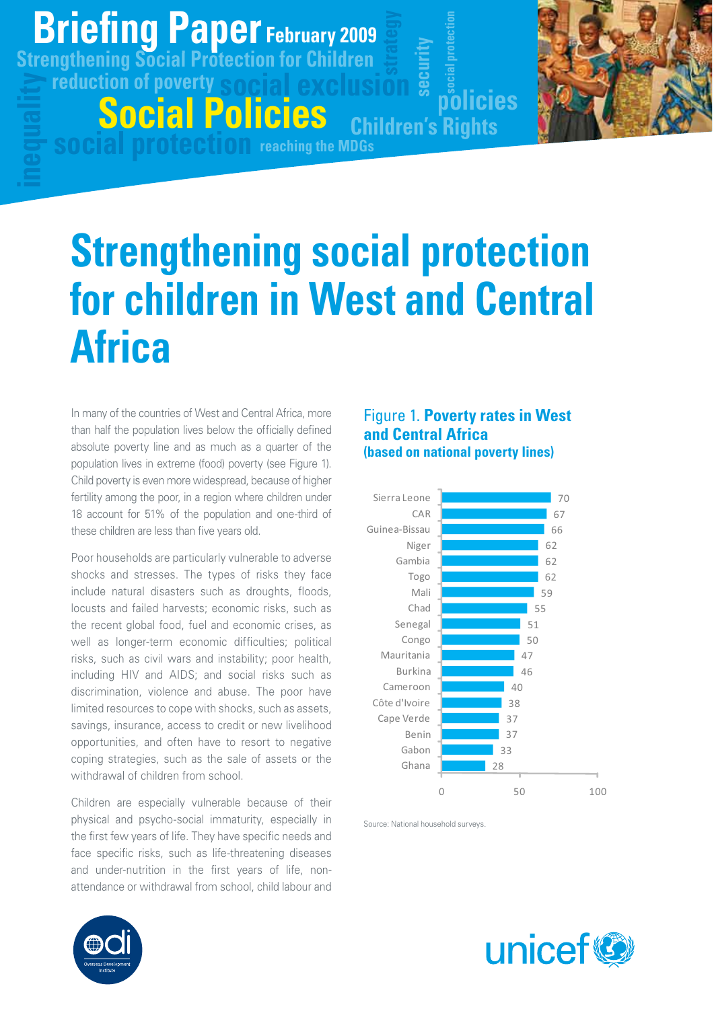## **Briefing Paper g p February 2009**

**reduction of poverty Strengthening Social Protection for Children**

**Social Policies**

# **Strengthening social protection for children in West and Central Africa**

**social protection reaching the MDGs**

In many of the countries of West and Central Africa, more than half the population lives below the officially defined absolute poverty line and as much as a quarter of the population lives in extreme (food) poverty (see Figure 1). Child poverty is even more widespread, because of higher fertility among the poor, in a region where children under 18 account for 51% of the population and one-third of these children are less than five years old.

Poor households are particularly vulnerable to adverse shocks and stresses. The types of risks they face include natural disasters such as droughts, floods, locusts and failed harvests; economic risks, such as the recent global food, fuel and economic crises, as well as longer-term economic difficulties; political risks, such as civil wars and instability; poor health, including HIV and AIDS; and social risks such as discrimination, violence and abuse. The poor have limited resources to cope with shocks, such as assets, savings, insurance, access to credit or new livelihood opportunities, and often have to resort to negative coping strategies, such as the sale of assets or the withdrawal of children from school.

Children are especially vulnerable because of their physical and psycho-social immaturity, especially in the first few years of life. They have specific needs and face specific risks, such as life-threatening diseases and under-nutrition in the first years of life, nonattendance or withdrawal from school, child labour and



**policies**

**securi**

**Children's Rights**

**ty**

**social protection**



Source: National household surveys.



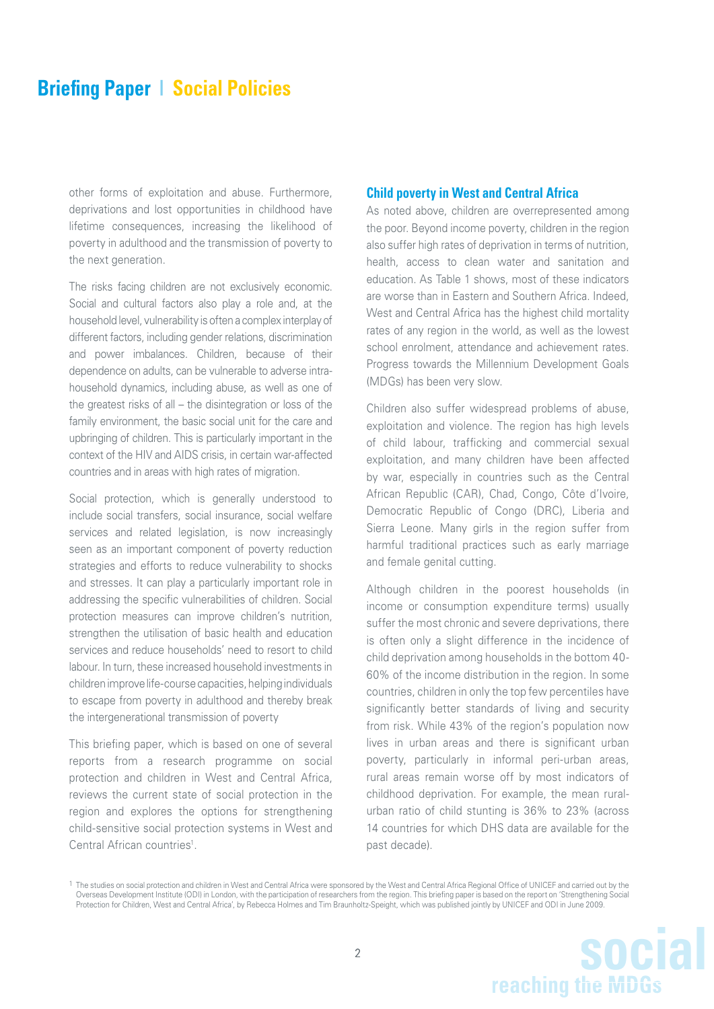other forms of exploitation and abuse. Furthermore, deprivations and lost opportunities in childhood have lifetime consequences, increasing the likelihood of poverty in adulthood and the transmission of poverty to the next generation.

The risks facing children are not exclusively economic. Social and cultural factors also play a role and, at the household level, vulnerability is often a complex interplay of different factors, including gender relations, discrimination and power imbalances. Children, because of their dependence on adults, can be vulnerable to adverse intrahousehold dynamics, including abuse, as well as one of the greatest risks of all – the disintegration or loss of the family environment, the basic social unit for the care and upbringing of children. This is particularly important in the context of the HIV and AIDS crisis, in certain war-affected countries and in areas with high rates of migration.

Social protection, which is generally understood to include social transfers, social insurance, social welfare services and related legislation, is now increasingly seen as an important component of poverty reduction strategies and efforts to reduce vulnerability to shocks and stresses. It can play a particularly important role in addressing the specific vulnerabilities of children. Social protection measures can improve children's nutrition, strengthen the utilisation of basic health and education services and reduce households' need to resort to child labour. In turn, these increased household investments in children improve life-course capacities, helping individuals to escape from poverty in adulthood and thereby break the intergenerational transmission of poverty

This briefing paper, which is based on one of several reports from a research programme on social protection and children in West and Central Africa, reviews the current state of social protection in the region and explores the options for strengthening child-sensitive social protection systems in West and Central African countries<sup>1</sup>.

#### **Child poverty in West and Central Africa**

As noted above, children are overrepresented among the poor. Beyond income poverty, children in the region also suffer high rates of deprivation in terms of nutrition. health, access to clean water and sanitation and education. As Table 1 shows, most of these indicators are worse than in Eastern and Southern Africa. Indeed, West and Central Africa has the highest child mortality rates of any region in the world, as well as the lowest school enrolment, attendance and achievement rates. Progress towards the Millennium Development Goals (MDGs) has been very slow.

Children also suffer widespread problems of abuse, exploitation and violence. The region has high levels of child labour, trafficking and commercial sexual exploitation, and many children have been affected by war, especially in countries such as the Central African Republic (CAR), Chad, Congo, Côte d'Ivoire, Democratic Republic of Congo (DRC), Liberia and Sierra Leone. Many girls in the region suffer from harmful traditional practices such as early marriage and female genital cutting.

Although children in the poorest households (in income or consumption expenditure terms) usually suffer the most chronic and severe deprivations, there is often only a slight difference in the incidence of child deprivation among households in the bottom 40- 60% of the income distribution in the region. In some countries, children in only the top few percentiles have significantly better standards of living and security from risk. While 43% of the region's population now lives in urban areas and there is significant urban poverty, particularly in informal peri-urban areas, rural areas remain worse off by most indicators of childhood deprivation. For example, the mean ruralurban ratio of child stunting is 36% to 23% (across 14 countries for which DHS data are available for the past decade).

<sup>1</sup> The studies on social protection and children in West and Central Africa were sponsored by the West and Central Africa Regional Office of UNICEF and carried out by the Overseas Development Institute (ODI) in London, with the participation of researchers from the region. This briefing paper is based on the report on 'Strengthening Social Protection for Children, West and Central Africa', by Rebecca Holmes and Tim Braunholtz-Speight, which was published jointly by UNICEF and ODI in June 2009.

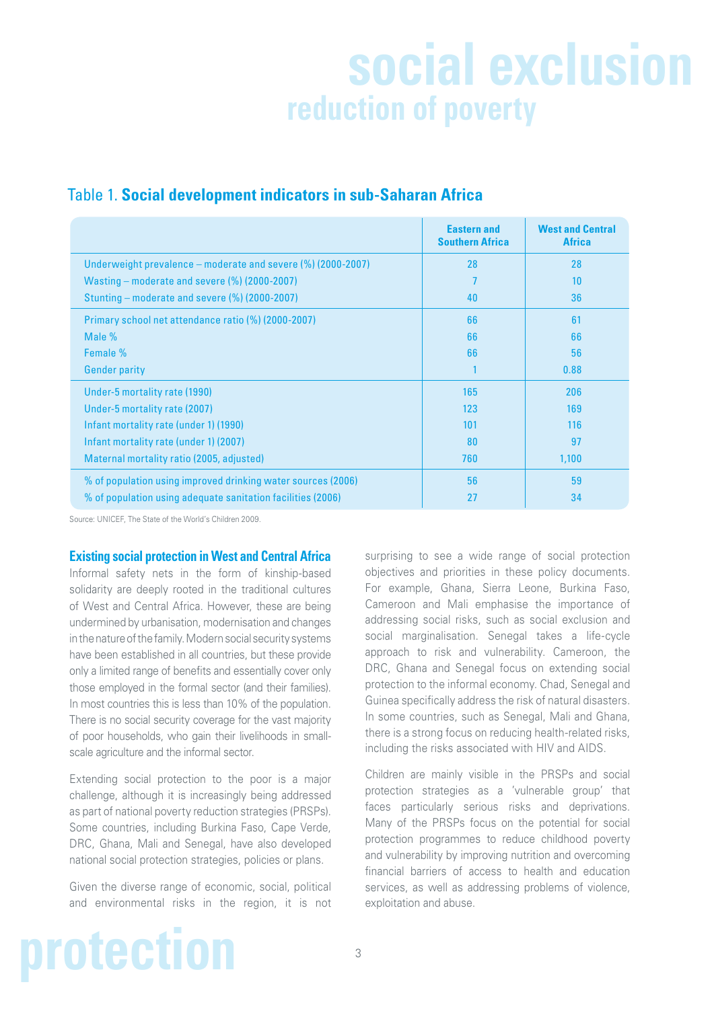## **social exclusion reduction of poverty**

|                                                              | <b>Eastern and</b><br><b>Southern Africa</b> | <b>West and Central</b><br><b>Africa</b> |
|--------------------------------------------------------------|----------------------------------------------|------------------------------------------|
| Underweight prevalence – moderate and severe (%) (2000-2007) | 28                                           | 28                                       |
| Wasting – moderate and severe $(\%)$ (2000-2007)             |                                              | 10                                       |
| Stunting – moderate and severe (%) (2000-2007)               | 40                                           | 36                                       |
| Primary school net attendance ratio (%) (2000-2007)          | 66                                           | 61                                       |
| Male %                                                       | 66                                           | 66                                       |
| Female %                                                     | 66                                           | 56                                       |
| <b>Gender parity</b>                                         |                                              | 0.88                                     |
| Under-5 mortality rate (1990)                                | 165                                          | 206                                      |
| Under-5 mortality rate (2007)                                | 123                                          | 169                                      |
| Infant mortality rate (under 1) (1990)                       | 101                                          | 116                                      |
| Infant mortality rate (under 1) (2007)                       | 80                                           | 97                                       |
| Maternal mortality ratio (2005, adjusted)                    | 760                                          | 1,100                                    |
| % of population using improved drinking water sources (2006) | 56                                           | 59                                       |
| % of population using adequate sanitation facilities (2006)  | 27                                           | 34                                       |

### Table 1. **Social development indicators in sub-Saharan Africa**

Source: UNICEF, The State of the World's Children 2009.

#### **Existing social protection in West and Central Africa**

Informal safety nets in the form of kinship-based solidarity are deeply rooted in the traditional cultures of West and Central Africa. However, these are being undermined by urbanisation, modernisation and changes in the nature of the family. Modern social security systems have been established in all countries, but these provide only a limited range of benefits and essentially cover only those employed in the formal sector (and their families). In most countries this is less than 10% of the population. There is no social security coverage for the vast majority of poor households, who gain their livelihoods in smallscale agriculture and the informal sector.

Extending social protection to the poor is a major challenge, although it is increasingly being addressed as part of national poverty reduction strategies (PRSPs). Some countries, including Burkina Faso, Cape Verde, DRC, Ghana, Mali and Senegal, have also developed national social protection strategies, policies or plans.

Given the diverse range of economic, social, political and environmental risks in the region, it is not surprising to see a wide range of social protection objectives and priorities in these policy documents. For example, Ghana, Sierra Leone, Burkina Faso, Cameroon and Mali emphasise the importance of addressing social risks, such as social exclusion and social marginalisation. Senegal takes a life-cycle approach to risk and vulnerability. Cameroon, the DRC, Ghana and Senegal focus on extending social protection to the informal economy. Chad, Senegal and Guinea specifically address the risk of natural disasters. In some countries, such as Senegal, Mali and Ghana, there is a strong focus on reducing health-related risks, including the risks associated with HIV and AIDS.

Children are mainly visible in the PRSPs and social protection strategies as a 'vulnerable group' that faces particularly serious risks and deprivations. Many of the PRSPs focus on the potential for social protection programmes to reduce childhood poverty and vulnerability by improving nutrition and overcoming financial barriers of access to health and education services, as well as addressing problems of violence, exploitation and abuse.

# **protection**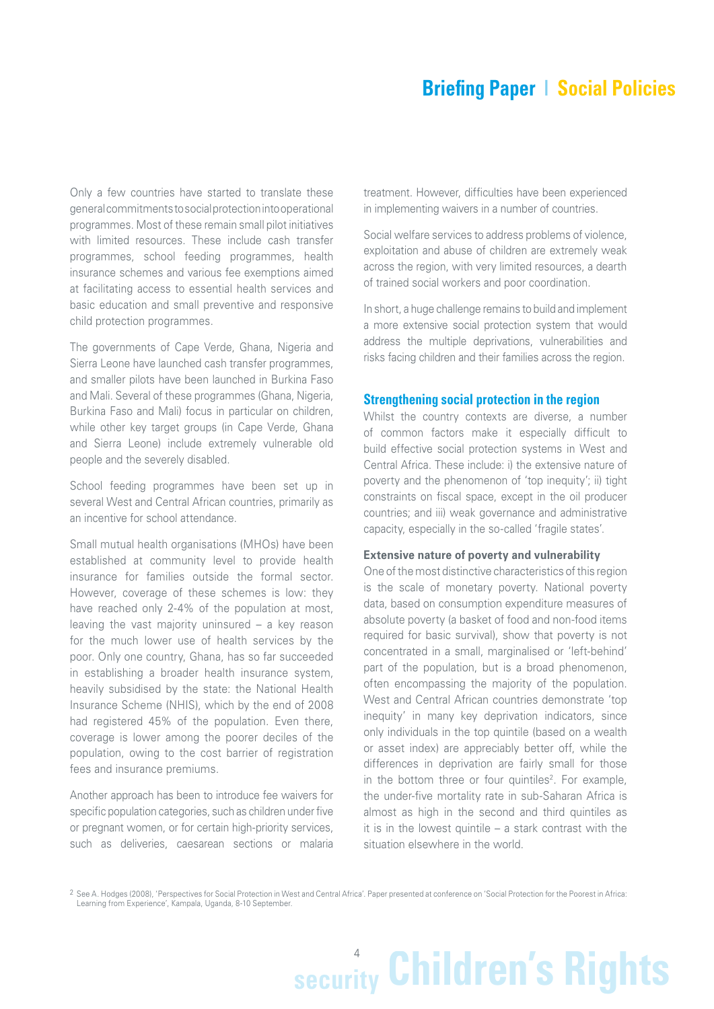Only a few countries have started to translate these general commitments to social protection into operational programmes. Most of these remain small pilot initiatives with limited resources. These include cash transfer programmes, school feeding programmes, health insurance schemes and various fee exemptions aimed at facilitating access to essential health services and basic education and small preventive and responsive child protection programmes.

The governments of Cape Verde, Ghana, Nigeria and Sierra Leone have launched cash transfer programmes, and smaller pilots have been launched in Burkina Faso and Mali. Several of these programmes (Ghana, Nigeria, Burkina Faso and Mali) focus in particular on children, while other key target groups (in Cape Verde, Ghana and Sierra Leone) include extremely vulnerable old people and the severely disabled.

School feeding programmes have been set up in several West and Central African countries, primarily as an incentive for school attendance.

Small mutual health organisations (MHOs) have been established at community level to provide health insurance for families outside the formal sector. However, coverage of these schemes is low: they have reached only 2-4% of the population at most, leaving the vast majority uninsured – a key reason for the much lower use of health services by the poor. Only one country, Ghana, has so far succeeded in establishing a broader health insurance system, heavily subsidised by the state: the National Health Insurance Scheme (NHIS), which by the end of 2008 had registered 45% of the population. Even there, coverage is lower among the poorer deciles of the population, owing to the cost barrier of registration fees and insurance premiums.

Another approach has been to introduce fee waivers for specific population categories, such as children under five or pregnant women, or for certain high-priority services, such as deliveries, caesarean sections or malaria

treatment. However, difficulties have been experienced in implementing waivers in a number of countries.

Social welfare services to address problems of violence, exploitation and abuse of children are extremely weak across the region, with very limited resources, a dearth of trained social workers and poor coordination.

In short, a huge challenge remains to build and implement a more extensive social protection system that would address the multiple deprivations, vulnerabilities and risks facing children and their families across the region.

#### **Strengthening social protection in the region**

Whilst the country contexts are diverse, a number of common factors make it especially difficult to build effective social protection systems in West and Central Africa. These include: i) the extensive nature of poverty and the phenomenon of 'top inequity'; ii) tight constraints on fiscal space, except in the oil producer countries; and iii) weak governance and administrative capacity, especially in the so-called 'fragile states'.

#### **Extensive nature of poverty and vulnerability**

One of the most distinctive characteristics of this region is the scale of monetary poverty. National poverty data, based on consumption expenditure measures of absolute poverty (a basket of food and non-food items required for basic survival), show that poverty is not concentrated in a small, marginalised or 'left-behind' part of the population, but is a broad phenomenon, often encompassing the majority of the population. West and Central African countries demonstrate 'top inequity' in many key deprivation indicators, since only individuals in the top quintile (based on a wealth or asset index) are appreciably better off, while the differences in deprivation are fairly small for those in the bottom three or four quintiles<sup>2</sup>. For example, the under-five mortality rate in sub-Saharan Africa is almost as high in the second and third quintiles as it is in the lowest quintile – a stark contrast with the situation elsewhere in the world.

2 See A. Hodges (2008), 'Perspectives for Social Protection in West and Central Africa'. Paper presented at conference on 'Social Protection for the Poorest in Africa: Learning from Experience', Kampala, Uganda, 8-10 September.

# 4 **security Children's Rights**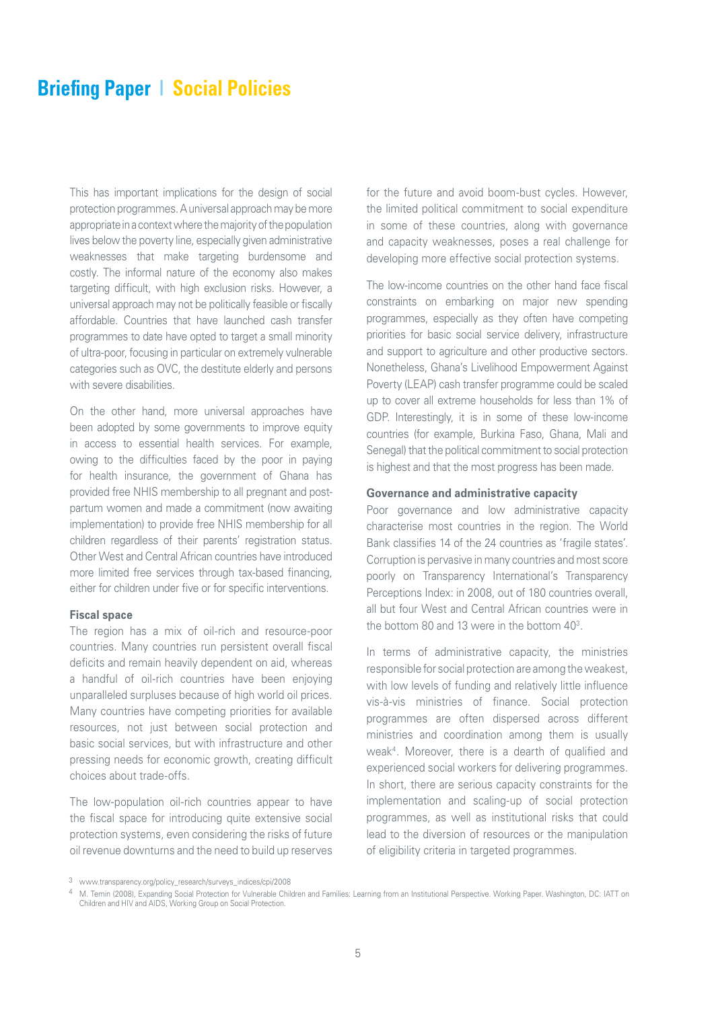This has important implications for the design of social protection programmes. A universal approach may be more appropriate in a context where the majority of the population lives below the poverty line, especially given administrative weaknesses that make targeting burdensome and costly. The informal nature of the economy also makes targeting difficult, with high exclusion risks. However, a universal approach may not be politically feasible or fiscally affordable. Countries that have launched cash transfer programmes to date have opted to target a small minority of ultra-poor, focusing in particular on extremely vulnerable categories such as OVC, the destitute elderly and persons with severe disabilities.

On the other hand, more universal approaches have been adopted by some governments to improve equity in access to essential health services. For example, owing to the difficulties faced by the poor in paying for health insurance, the government of Ghana has provided free NHIS membership to all pregnant and postpartum women and made a commitment (now awaiting implementation) to provide free NHIS membership for all children regardless of their parents' registration status. Other West and Central African countries have introduced more limited free services through tax-based financing, either for children under five or for specific interventions.

#### **Fiscal space**

The region has a mix of oil-rich and resource-poor countries. Many countries run persistent overall fiscal deficits and remain heavily dependent on aid, whereas a handful of oil-rich countries have been enjoying unparalleled surpluses because of high world oil prices. Many countries have competing priorities for available resources, not just between social protection and basic social services, but with infrastructure and other pressing needs for economic growth, creating difficult choices about trade-offs.

The low-population oil-rich countries appear to have the fiscal space for introducing quite extensive social protection systems, even considering the risks of future oil revenue downturns and the need to build up reserves

for the future and avoid boom-bust cycles. However, the limited political commitment to social expenditure in some of these countries, along with governance and capacity weaknesses, poses a real challenge for developing more effective social protection systems.

The low-income countries on the other hand face fiscal constraints on embarking on major new spending programmes, especially as they often have competing priorities for basic social service delivery, infrastructure and support to agriculture and other productive sectors. Nonetheless, Ghana's Livelihood Empowerment Against Poverty (LEAP) cash transfer programme could be scaled up to cover all extreme households for less than 1% of GDP. Interestingly, it is in some of these low-income countries (for example, Burkina Faso, Ghana, Mali and Senegal) that the political commitment to social protection is highest and that the most progress has been made.

#### **Governance and administrative capacity**

Poor governance and low administrative capacity characterise most countries in the region. The World Bank classifies 14 of the 24 countries as 'fragile states'. Corruption is pervasive in many countries and most score poorly on Transparency International's Transparency Perceptions Index: in 2008, out of 180 countries overall, all but four West and Central African countries were in the bottom 80 and 13 were in the bottom 403.

In terms of administrative capacity, the ministries responsible for social protection are among the weakest, with low levels of funding and relatively little influence vis-à-vis ministries of finance. Social protection programmes are often dispersed across different ministries and coordination among them is usually weak4. Moreover, there is a dearth of qualified and experienced social workers for delivering programmes. In short, there are serious capacity constraints for the implementation and scaling-up of social protection programmes, as well as institutional risks that could lead to the diversion of resources or the manipulation of eligibility criteria in targeted programmes.

<sup>3</sup> www.transparency.org/policy\_research/surveys\_indices/cpi/2008

<sup>4</sup> M. Temin (2008), Expanding Social Protection for Vulnerable Children and Families: Learning from an Institutional Perspective. Working Paper. Washington, DC: IATT on Children and HIV and AIDS, Working Group on Social Protection.